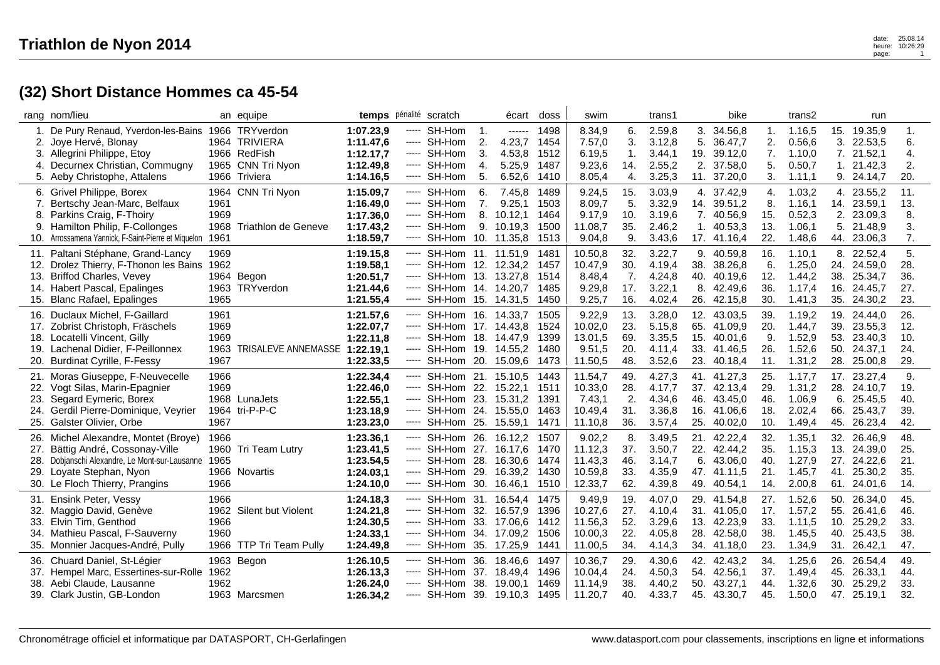## **(32) Short Distance Hommes ca 45-54**

|            | rang nom/lieu                                                    |      | an equipe                       | temps pénalité scratch |                        |                                                      |          | écart              | doss         | swim             |           | trans1           |                | bike                       |            | trans2           |            | run                |            |  |
|------------|------------------------------------------------------------------|------|---------------------------------|------------------------|------------------------|------------------------------------------------------|----------|--------------------|--------------|------------------|-----------|------------------|----------------|----------------------------|------------|------------------|------------|--------------------|------------|--|
| 1.         | De Pury Renaud, Yverdon-les-Bains<br>2. Joye Hervé, Blonay       |      | 1966 TRYverdon<br>1964 TRIVIERA | 1:07.23.9<br>1:11.47,6 | -----                  | SH-Hom<br>----- SH-Hom                               | 1.<br>2. | $-----1$<br>4.23,7 | 1498<br>1454 | 8.34,9<br>7.57,0 | 6.<br>3.  | 2.59,8<br>3.12,8 | 3.<br>5.       | 34.56,8<br>36.47,7         | 1.<br>2.   | 1.16,5<br>0.56,6 | 15.<br>3.  | 19.35,9<br>22.53,5 | 1.<br>6.   |  |
|            | 3. Allegrini Philippe, Etoy                                      |      | 1966 RedFish                    | 1:12.17,7              |                        | ---- SH-Hom                                          | 3.       | 4.53,8             | 1512         | 6.19,5           | 1.        | 3.44,1           |                | 19. 39.12,0                | 7.         | 1.10.0           |            | 7. 21.52,1         | 4.         |  |
| 4.         | Decurnex Christian, Commugny                                     |      | 1965 CNN Tri Nyon               | 1:12.49,8              |                        | ----- SH-Hom                                         | 4.       | 5.25,9             | 1487         | 9.23,6           | 14.       | 2.55,2           | 2.             | 37.58,0                    | 5.         | 0.50,7           | 1.         | 21.42,3            | 2.         |  |
|            | 5. Aeby Christophe, Attalens                                     |      | 1966 Triviera                   | 1:14.16,5              |                        | ----- SH-Hom                                         | 5.       | 6.52,6             | 1410         | 8.05,4           | 4.        | 3.25.3           | 11.            | 37.20,0                    | 3.         | 1.11,1           | 9.         | 24.14,7            | 20.        |  |
| 6.         | Grivel Philippe, Borex                                           |      | 1964 CNN Tri Nyon               | 1:15.09,7              |                        | ---- SH-Hom                                          | 6.       | 7.45,8             | 1489         | 9.24,5           | 15.       | 3.03,9           |                | 4. 37.42,9                 | 4.         | 1.03,2           |            | 4. 23.55,2         | 11.        |  |
| 7.         | Bertschy Jean-Marc, Belfaux                                      | 1961 |                                 | 1:16.49.0              |                        | ----- SH-Hom                                         | 7.       | 9.25,1             | 1503         | 8.09,7           | 5.        | 3.32,9           |                | 14. 39.51,2                | 8.         | 1.16,1           | 14.        | 23.59,1            | 13.        |  |
| 8.         | Parkins Craig, F-Thoiry                                          | 1969 |                                 | 1:17.36,0              |                        | ----- SH-Hom                                         |          | 8. 10.12,1         | 1464         | 9.17,9           | 10.       | 3.19,6           |                | 7. 40.56,9                 | 15.        | 0.52,3           | 2.         | 23.09,3            | 8.         |  |
| 9.         | Hamilton Philip, F-Collonges                                     |      | 1968 Triathlon de Geneve        | 1:17.43,2              |                        | ---- SH-Hom                                          |          | 9. 10.19.3         | 1500         | 11.08,7          | 35.       | 2.46,2           | $\mathbf{1}$ . | 40.53,3                    | 13.        | 1.06,1           | 5.         | 21.48,9            | 3.         |  |
|            | 10. Arrossamena Yannick, F-Saint-Pierre et Miquelon              | 1961 |                                 | 1:18.59,7              | -----                  | SH-Hom 10. 11.35,8                                   |          |                    | 1513         | 9.04,8           | 9.        | 3.43,6           |                | 17. 41.16,4                | 22.        | 1.48,6           | 44.        | 23.06,3            | 7.         |  |
| 11.        | Paltani Stéphane, Grand-Lancy                                    | 1969 |                                 | 1:19.15,8              |                        | ----- SH-Hom 11. 11.51,9                             |          |                    | 1481         | 10.50,8          | 32.       | 3.22,7           |                | 9. 40.59,8                 | 16.        | 1.10,1           |            | 8. 22.52,4         | 5.         |  |
| 12.        | Drolez Thierry, F-Thonon les Bains                               | 1962 |                                 | 1:19.58.1              |                        | $--$ SH-Hom 12. 12.34.2                              |          |                    | 1457         | 10.47,9          | 30.       | 4.19,4           | 38.            | 38.26,8                    | 6.         | 1.25,0           | 24.        | 24.59.0            | 28.        |  |
| 13.        | <b>Briffod Charles, Vevey</b>                                    |      | 1964 Begon                      | 1:20.51,7              |                        | ----- SH-Hom 13. 13.27,8                             |          |                    | 1514         | 8.48,4           | 7.        | 4.24,8           | 40.            | 40.19,6                    | 12.        | 1.44,2           | 38.        | 25.34,7            | 36.        |  |
| 14.        | Habert Pascal, Epalinges                                         |      | 1963 TRYverdon                  | 1:21.44,6              |                        | ----- SH-Hom 14, 14.20.7                             |          |                    | 1485         | 9.29,8           | 17.       | 3.22,1           | 8.             | 42.49.6                    | 36.        | 1.17.4           | 16.        | 24.45.7            | 27.        |  |
|            | 15. Blanc Rafael, Epalinges                                      | 1965 |                                 | 1:21.55,4              |                        | ----- SH-Hom 15. 14.31,5                             |          |                    | 1450         | 9.25,7           | 16.       | 4.02,4           |                | 26. 42.15,8                | 30.        | 1.41,3           |            | 35. 24.30,2        | 23.        |  |
| 16.        | Duclaux Michel, F-Gaillard                                       | 1961 |                                 | 1:21.57.6              |                        | ----- SH-Hom 16, 14.33.7                             |          |                    | 1505         | 9.22,9           | 13.       | 3.28,0           | 12.            | 43.03,5                    | 39.        | 1.19,2           | 19.        | 24.44.0            | 26.        |  |
| 17.        | Zobrist Christoph, Fräschels                                     | 1969 |                                 | 1:22.07,7              |                        | ----- SH-Hom 17. 14.43,8                             |          |                    | 1524         | 10.02,0          | 23.       | 5.15,8           | 65.            | 41.09,9                    | 20.        | 1.44,7           | 39.        | 23.55,3            | 12.        |  |
| 18.        | Locatelli Vincent, Gilly                                         | 1969 |                                 | 1:22.11,8              |                        | ----- SH-Hom 18. 14.47,9                             |          |                    | 1399         | 13.01,5          | 69.       | 3.35,5           | 15.            | 40.01.6                    | 9.         | 1.52,9           | 53.        | 23.40,3            | 10.        |  |
| 19.        | Lachenal Didier, F-Peillonnex                                    |      | 1963 TRISALEVE ANNEMASSE        | 1:22.19,1              |                        | ----- SH-Hom 19. 14.55,2                             |          |                    | 1480         | 9.51,5           | 20.       | 4.11,4           | 33.            | 41.46,5                    | 26.        | 1.52,6           | 50.        | 24.37,1            | 24.        |  |
| 20.        | <b>Burdinat Cyrille, F-Fessy</b>                                 | 1967 |                                 | 1:22.33,5              | $\cdots$               | SH-Hom 20. 15.09,6                                   |          |                    | 1473         | 11.50,5          | 48.       | 3.52,6           | 23.            | 40.18,4                    | 11.        | 1.31,2           | 28.        | 25.00,8            | 29.        |  |
| 21.        | Moras Giuseppe, F-Neuvecelle                                     | 1966 |                                 | 1:22.34,4              |                        | ----- SH-Hom 21. 15.10,5                             |          |                    | 1443         | 11.54,7          | 49.       | 4.27,3           |                | 41. 41.27,3                | 25.        | 1.17.7           |            | 17. 23.27,4        | 9.         |  |
| 22.        | Vogt Silas, Marin-Epagnier                                       | 1969 |                                 | 1:22.46,0              |                        | ----- SH-Hom 22. 15.22,1                             |          |                    | 1511         | 10.33,0          | 28.       | 4.17,7           | 37.            | 42.13,4                    | 29.        | 1.31,2           | 28.        | 24.10,7            | 19.        |  |
|            | Segard Eymeric, Borex                                            |      | 1968 LunaJets                   | 1:22.55,1              |                        | ----- SH-Hom 23. 15.31,2                             |          |                    | 1391         | 7.43,1           | 2.        | 4.34,6           | 46.            | 43.45.0                    | 46.        | 1.06.9           | 6.         | 25.45,5            | 40.        |  |
|            | 24. Gerdil Pierre-Dominique, Veyrier                             |      | 1964 tri-P-P-C                  | 1:23.18,9              |                        | ----- SH-Hom 24. 15.55,0                             |          |                    | 1463         | 10.49,4          | 31.       | 3.36,8           |                | 16. 41.06,6                | 18.        | 2.02,4           | 66.        | 25.43,7            | 39.        |  |
| 25.        | Galster Olivier, Orbe                                            | 1967 |                                 | 1:23.23,0              | -----                  | SH-Hom 25. 15.59,1                                   |          |                    | 1471         | 11.10,8          | 36.       | 3.57,4           | 25.            | 40.02,0                    | 10.        | 1.49,4           | 45.        | 26.23,4            | 42.        |  |
|            |                                                                  |      |                                 | 1:23.36,1              |                        |                                                      |          |                    |              | 9.02,2           |           |                  |                |                            |            |                  |            |                    |            |  |
| 26.<br>27. | Michel Alexandre, Montet (Broye)<br>Bättig André, Cossonay-Ville | 1966 | 1960 Tri Team Lutry             | 1:23.41,5              |                        | ----- SH-Hom 26. 16.12,2<br>----- SH-Hom 27. 16.17,6 |          |                    | 1507<br>1470 | 11.12,3          | 8.<br>37. | 3.49,5<br>3.50,7 |                | 21. 42.22,4<br>22. 42.44,2 | 32.<br>35. | 1.35,1<br>1.15,3 | 32.<br>13. | 26.46,9<br>24.39,0 | 48.<br>25. |  |
|            | 28. Dobjanschi Alexandre, Le Mont-sur-Lausanne                   | 1965 |                                 | 1:23.54,5              |                        | ----- SH-Hom 28. 16.30,6                             |          |                    | 1474         | 11.43,3          | 46.       | 3.14,7           | 6.             | 43.06,0                    | 40.        | 1.27,9           | 27.        | 24.22,6            | 21.        |  |
| 29.        | Loyate Stephan, Nyon                                             |      | 1966 Novartis                   | 1:24.03.1              |                        | ----- SH-Hom 29. 16.39,2                             |          |                    | 1430         | 10.59,8          | 33.       | 4.35,9           | 47.            | 41.11.5                    | 21.        | 1.45,7           | 41.        | 25.30,2            | 35.        |  |
|            | 30. Le Floch Thierry, Prangins                                   | 1966 |                                 | 1:24.10,0              |                        | ---- SH-Hom 30. 16.46,1                              |          |                    | 1510         | 12.33,7          | 62.       | 4.39,8           |                | 49. 40.54,1                | 14.        | 2.00,8           |            | 61. 24.01,6        | 14.        |  |
|            |                                                                  |      |                                 |                        |                        |                                                      |          |                    |              |                  |           |                  |                |                            |            |                  |            |                    |            |  |
| 31.        | Ensink Peter, Vessy                                              | 1966 |                                 | 1:24.18,3              | -----                  | SH-Hom 31. 16.54,4                                   |          |                    | 1475         | 9.49,9           | 19.       | 4.07,0           | 29.            | 41.54,8                    | 27.        | 1.52,6           | 50.        | 26.34,0            | 45.        |  |
| 32.        | Maggio David, Genève                                             |      | 1962 Silent but Violent         | 1:24.21,8              |                        | ----- SH-Hom 32. 16.57,9                             |          |                    | 1396         | 10.27,6          | 27.       | 4.10,4           |                | 31. 41.05,0                | 17.        | 1.57,2           | 55.        | 26.41,6            | 46.        |  |
| 33.        | Elvin Tim, Genthod                                               | 1966 |                                 | 1:24.30,5              |                        | ----- SH-Hom 33. 17.06,6                             |          |                    | 1412         | 11.56,3          | 52.       | 3.29,6           | 13.            | 42.23,9                    | 33.        | 1.11,5           | 10.        | 25.29,2            | 33.        |  |
| 34.        | Mathieu Pascal, F-Sauverny                                       | 1960 |                                 | 1:24.33,1              |                        | ----- SH-Hom 34. 17.09,2                             |          |                    | 1506         | 10.00,3          | 22.       | 4.05,8           | 28.            | 42.58,0                    | 38.        | 1.45,5           | 40.        | 25.43,5            | 38.        |  |
| 35.        | Monnier Jacques-André, Pully                                     |      | 1966 TTP Tri Team Pully         | 1:24.49,8              | $\cdots \cdots \cdots$ | SH-Hom 35. 17.25,9                                   |          |                    | 1441         | 11.00,5          | 34.       | 4.14,3           | 34.            | 41.18,0                    | 23.        | 1.34,9           | 31.        | 26.42,1            | 47.        |  |
|            | 36. Chuard Daniel, St-Légier                                     |      | 1963 Begon                      | 1:26.10,5              |                        | ----- SH-Hom 36, 18,46.6                             |          |                    | 1497         | 10.36,7          | 29.       | 4.30,6           |                | 42. 42.43,2                | 34.        | 1.25,6           | 26.        | 26.54,4            | 49.        |  |
| 37.        | Hempel Marc, Essertines-sur-Rolle                                | 1962 |                                 | 1:26.13,3              |                        | ----- SH-Hom 37. 18.49,4                             |          |                    | 1496         | 10.04,4          | 24.       | 4.50,3           | 54.            | 42.56,1                    | 37.        | 1.49,4           | 45.        | 26.33,1            | 44.        |  |
| 38.        | Aebi Claude, Lausanne                                            | 1962 |                                 | 1:26.24,0              |                        | ---- SH-Hom                                          |          | 38. 19.00.1        | 1469         | 11.14,9          | 38.       | 4.40,2           | 50.            | 43.27,1                    | 44.        | 1.32,6           | 30.        | 25.29,2            | 33.        |  |
|            | 39. Clark Justin, GB-London                                      |      | 1963 Marcsmen                   | 1:26.34,2              |                        | ----- SH-Hom 39. 19.10,3                             |          |                    | 1495         | 11.20,7          | 40.       | 4.33,7           | 45.            | 43.30,7                    | 45.        | 1.50,0           |            | 47. 25.19,1        | 32.        |  |
|            |                                                                  |      |                                 |                        |                        |                                                      |          |                    |              |                  |           |                  |                |                            |            |                  |            |                    |            |  |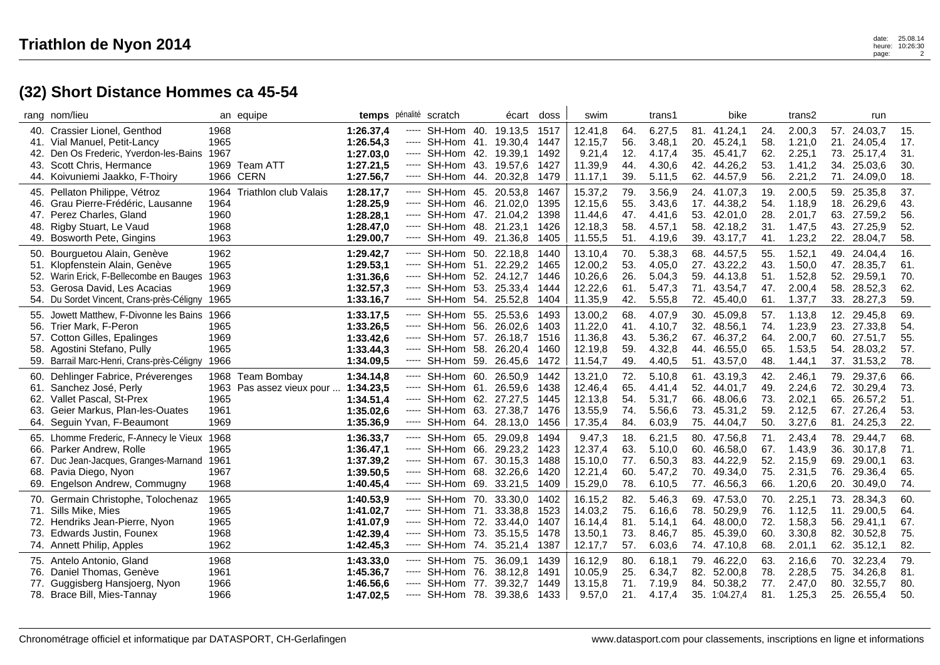## **(32) Short Distance Hommes ca 45-54**

|                   | rang nom/lieu                                                                                                                                                                   |                                      | an equipe                                     | temps pénalité scratch                                        |       |                                                                                                                                          | écart doss         |                                      | swim                                                |                                 | trans1                                         |                          | bike                                                                |                                 | trans2                                         |                          | run                                                             |                                 |
|-------------------|---------------------------------------------------------------------------------------------------------------------------------------------------------------------------------|--------------------------------------|-----------------------------------------------|---------------------------------------------------------------|-------|------------------------------------------------------------------------------------------------------------------------------------------|--------------------|--------------------------------------|-----------------------------------------------------|---------------------------------|------------------------------------------------|--------------------------|---------------------------------------------------------------------|---------------------------------|------------------------------------------------|--------------------------|-----------------------------------------------------------------|---------------------------------|
|                   | 40. Crassier Lionel, Genthod<br>41. Vial Manuel, Petit-Lancy<br>42. Den Os Frederic, Yverdon-les-Bains<br>43. Scott Chris, Hermance<br>44. Koivuniemi Jaakko, F-Thoiry          | 1968<br>1965<br>1967                 | 1969 Team ATT<br><b>1966 CERN</b>             | 1:26.37.4<br>1:26.54,3<br>1:27.03,0<br>1:27.21,5<br>1:27.56,7 |       | ----- SH-Hom 40. 19.13,5<br>----- SH-Hom 41. 19.30,4<br>----- SH-Hom 42. 19.39,1<br>----- SH-Hom 43. 19.57,6<br>----- SH-Hom 44. 20.32,8 |                    | 1517<br>1447<br>1492<br>1427<br>1479 | 12.41,8<br>12.15,7<br>9.21,4<br>11.39,9<br>11.17,1  | 64.<br>56.<br>12.<br>44.<br>39. | 6.27,5<br>3.48,1<br>4.17,4<br>4.30,6<br>5.11,5 | 20.<br>35.<br>62.        | 81. 41.24,1<br>45.24,1<br>45.41,7<br>42. 44.26,2<br>44.57,9         | 24.<br>58.<br>62.<br>53.<br>56. | 2.00,3<br>1.21,0<br>2.25,1<br>1.41,2<br>2.21,2 | 21.<br>34.<br>71.        | 57. 24.03,7<br>24.05.4<br>73. 25.17,4<br>25.03,6<br>24.09,0     | 15.<br>17.<br>31.<br>30.<br>18. |
| 48.               | 45. Pellaton Philippe, Vétroz<br>46. Grau Pierre-Frédéric, Lausanne<br>47. Perez Charles, Gland<br>Rigby Stuart, Le Vaud<br>49. Bosworth Pete, Gingins                          | 1964<br>1960<br>1968<br>1963         | 1964 Triathlon club Valais                    | 1:28.17,7<br>1:28.25,9<br>1:28.28,1<br>1:28.47,0<br>1:29.00,7 |       | ----- SH-Hom 45. 20.53,8<br>----- SH-Hom 46. 21.02,0<br>----- SH-Hom 47. 21.04,2<br>----- SH-Hom 48. 21.23,1<br>----- SH-Hom 49. 21.36,8 |                    | 1467<br>1395<br>1398<br>1426<br>1405 | 15.37,2<br>12.15,6<br>11.44,6<br>12.18,3<br>11.55,5 | 79.<br>55.<br>47.<br>58.<br>51. | 3.56,9<br>3.43,6<br>4.41,6<br>4.57,1<br>4.19,6 | 53.<br>39.               | 24. 41.07,3<br>17. 44.38,2<br>42.01,0<br>58. 42.18,2<br>43.17,7     | 19.<br>54.<br>28.<br>31.<br>41. | 2.00,5<br>1.18,9<br>2.01,7<br>1.47,5<br>1.23,2 | 18.<br>63.<br>22.        | 59. 25.35,8<br>26.29,6<br>27.59,2<br>43. 27.25,9<br>28.04,7     | 37.<br>43.<br>56.<br>52.<br>58. |
| 52.<br>53.        | 50. Bourguetou Alain, Genève<br>51. Klopfenstein Alain, Genève<br>Warin Erick, F-Bellecombe en Bauges<br>Gerosa David, Les Acacias<br>54. Du Sordet Vincent, Crans-près-Céligny | 1962<br>1965<br>1963<br>1969<br>1965 |                                               | 1:29.42,7<br>1:29.53,1<br>1:31.36,6<br>1:32.57,3<br>1:33.16,7 |       | ----- SH-Hom 50. 22.18,8<br>----- SH-Hom 51. 22.29,2<br>----- SH-Hom 52. 24.12,7<br>----- SH-Hom 53. 25.33,4<br>----- SH-Hom 54. 25.52,8 |                    | 1440<br>1465<br>1446<br>1444<br>1404 | 13.10,4<br>12.00,2<br>10.26,6<br>12.22,6<br>11.35,9 | 70.<br>53.<br>26.<br>61.<br>42. | 5.38,3<br>4.05,0<br>5.04,3<br>5.47,3<br>5.55,8 | 59.<br>71.               | 68. 44.57,5<br>27. 43.22,2<br>44.13,8<br>43.54,7<br>72. 45.40,0     | 55.<br>43.<br>51.<br>47.<br>61. | 1.52,1<br>1.50,0<br>1.52,8<br>2.00,4<br>1.37,7 | 47.<br>52.<br>58.        | 49. 24.04,4<br>28.35,7<br>29.59,1<br>28.52,3<br>33. 28.27,3     | 16.<br>61.<br>70.<br>62.<br>59. |
| 55.<br>56.<br>58. | Jowett Matthew, F-Divonne les Bains<br>Trier Mark, F-Peron<br>57. Cotton Gilles, Epalinges<br>Agostini Stefano, Pully<br>59. Barrail Marc-Henri, Crans-près-Céligny             | 1966<br>1965<br>1969<br>1965<br>1966 |                                               | 1:33.17,5<br>1:33.26,5<br>1:33.42,6<br>1:33.44,3<br>1:34.09,5 | ----- | ----- SH-Hom 55. 25.53,6<br>----- SH-Hom 56. 26.02,6<br>----- SH-Hom 57. 26.18,7<br>SH-Hom 58.<br>----- SH-Hom 59. 26.45,6               | 26.20,4            | 1493<br>1403<br>1516<br>1460<br>1472 | 13.00,2<br>11.22,0<br>11.36,8<br>12.19,8<br>11.54,7 | 68.<br>41.<br>43.<br>59.<br>49. | 4.07,9<br>4.10,7<br>5.36,2<br>4.32,8<br>4.40,5 | 30.<br>44.               | 45.09,8<br>32. 48.56,1<br>67. 46.37,2<br>46.55,0<br>51. 43.57,0     | 57.<br>74.<br>64.<br>65.<br>48. | 1.13,8<br>1.23,9<br>2.00,7<br>1.53,5<br>1.44,1 | 12.<br>54.               | 29.45,8<br>23. 27.33,8<br>60. 27.51,7<br>28.03,2<br>37. 31.53,2 | 69.<br>54.<br>55.<br>57.<br>78. |
| 60.<br>63.        | Dehlinger Fabrice, Préverenges<br>61. Sanchez José, Perly<br>62. Vallet Pascal, St-Prex<br>Geier Markus, Plan-les-Ouates<br>64. Seguin Yvan, F-Beaumont                         | 1965<br>1961<br>1969                 | 1968 Team Bombay<br>1963 Pas assez vieux pour | 1:34.14,8<br>1:34.23,5<br>1:34.51,4<br>1:35.02,6<br>1:35.36,9 | ----- | SH-Hom 60. 26.50,9<br>----- SH-Hom 61. 26.59,6<br>----- SH-Hom 62. 27.27,5<br>----- SH-Hom 63. 27.38,7<br>----- SH-Hom 64. 28.13,0       |                    | 1442<br>1438<br>1445<br>1476<br>1456 | 13.21,0<br>12.46,4<br>12.13,8<br>13.55,9<br>17.35,4 | 72.<br>65.<br>54.<br>74.<br>84. | 5.10,8<br>4.41,4<br>5.31,7<br>5.56,6<br>6.03,9 | 52.<br>66.<br>73.<br>75. | 61. 43.19.3<br>44.01,7<br>48.06,6<br>45.31,2<br>44.04,7             | 42.<br>49.<br>73.<br>59.<br>50. | 2.46,1<br>2.24,6<br>2.02,1<br>2.12,5<br>3.27,6 | 72.<br>65.               | 79. 29.37,6<br>30.29,4<br>26.57,2<br>67. 27.26,4<br>81. 24.25,3 | 66.<br>73.<br>51.<br>53.<br>22. |
|                   | 65. Lhomme Frederic, F-Annecy le Vieux<br>66. Parker Andrew, Rolle<br>67. Duc Jean-Jacques, Granges-Marnand<br>68. Pavia Diego, Nyon<br>69. Engelson Andrew, Commugny           | 1968<br>1965<br>1961<br>1967<br>1968 |                                               | 1:36.33,7<br>1:36.47,1<br>1:37.39,2<br>1:39.50.5<br>1:40.45,4 |       | ----- SH-Hom 65. 29.09,8<br>----- SH-Hom 66. 29.23,2<br>----- SH-Hom 67. 30.15,3<br>----- SH-Hom 68. 32.26,6<br>----- SH-Hom 69. 33.21,5 |                    | 1494<br>1423<br>1488<br>1420<br>1409 | 9.47,3<br>12.37,4<br>15.10,0<br>12.21,4<br>15.29,0  | 18.<br>63.<br>77.<br>60.<br>78. | 6.21,5<br>5.10.0<br>6.50,3<br>5.47,2<br>6.10,5 | 60.                      | 80. 47.56,8<br>46.58,0<br>83. 44.22,9<br>70. 49.34,0<br>77. 46.56,3 | 71.<br>67.<br>52.<br>75.<br>66. | 2.43,4<br>1.43,9<br>2.15,9<br>2.31,5<br>1.20,6 | 36.<br>69.<br>76.<br>20. | 78. 29.44,7<br>30.17,8<br>29.00,1<br>29.36,4<br>30.49,0         | 68.<br>71.<br>63.<br>65.<br>74. |
| 71.<br>72.        | 70. Germain Christophe, Tolochenaz<br>Sills Mike, Mies<br>Hendriks Jean-Pierre, Nyon<br>73. Edwards Justin, Founex<br>74. Annett Philip, Apples                                 | 1965<br>1965<br>1965<br>1968<br>1962 |                                               | 1:40.53,9<br>1:41.02.7<br>1:41.07,9<br>1:42.39,4<br>1:42.45,3 | ----- | ----- SH-Hom 70. 33.30,0<br>----- SH-Hom 71.<br>----- SH-Hom 72.<br>----- SH-Hom 73. 35.15,5<br>SH-Hom 74. 35.21,4                       | 33.38,8<br>33.44,0 | 1402<br>1523<br>1407<br>1478<br>1387 | 16.15,2<br>14.03,2<br>16.14,4<br>13.50,1<br>12.17,7 | 82.<br>75.<br>81.<br>73.<br>57. | 5.46,3<br>6.16,6<br>5.14,1<br>8.46,7<br>6.03,6 | 78.<br>64.<br>85.        | 69. 47.53,0<br>50.29,9<br>48.00,0<br>45.39,0<br>74. 47.10,8         | 70.<br>76.<br>72.<br>60.<br>68. | 2.25,1<br>1.12,5<br>1.58,3<br>3.30,8<br>2.01,1 | 11.<br>56.<br>82.<br>62. | 73. 28.34,3<br>29.00,5<br>29.41,1<br>30.52,8<br>35.12,1         | 60.<br>64.<br>67.<br>75.<br>82. |
| 77.               | 75. Antelo Antonio, Gland<br>76. Daniel Thomas, Genève<br>Guggisberg Hansjoerg, Nyon<br>78. Brace Bill, Mies-Tannay                                                             | 1968<br>1961<br>1966<br>1966         |                                               | 1:43.33,0<br>1:45.36,7<br>1:46.56,6<br>1:47.02,5              |       | ----- SH-Hom 75. 36.09,1<br>----- SH-Hom 76.<br>----- SH-Hom 77.<br>----- SH-Hom 78. 39.38,6                                             | 38.12,8<br>39.32,7 | 1439<br>1491<br>1449<br>1433         | 16.12,9<br>10.05,9<br>13.15,8<br>9.57,0             | 80.<br>25.<br>71.<br>21.        | 6.18,1<br>6.34,7<br>7.19,9<br>4.17,4           | 82.<br>84.               | 79. 46.22,0<br>52.00,8<br>50.38,2<br>35. 1:04.27,4                  | 63.<br>78.<br>77.<br>81.        | 2.16,6<br>2.28,5<br>2.47,0<br>1.25,3           | 70.<br>75.<br>80.<br>25. | 32.23,4<br>34.26,8<br>32.55,7<br>26.55,4                        | 79.<br>81.<br>80.<br>50.        |